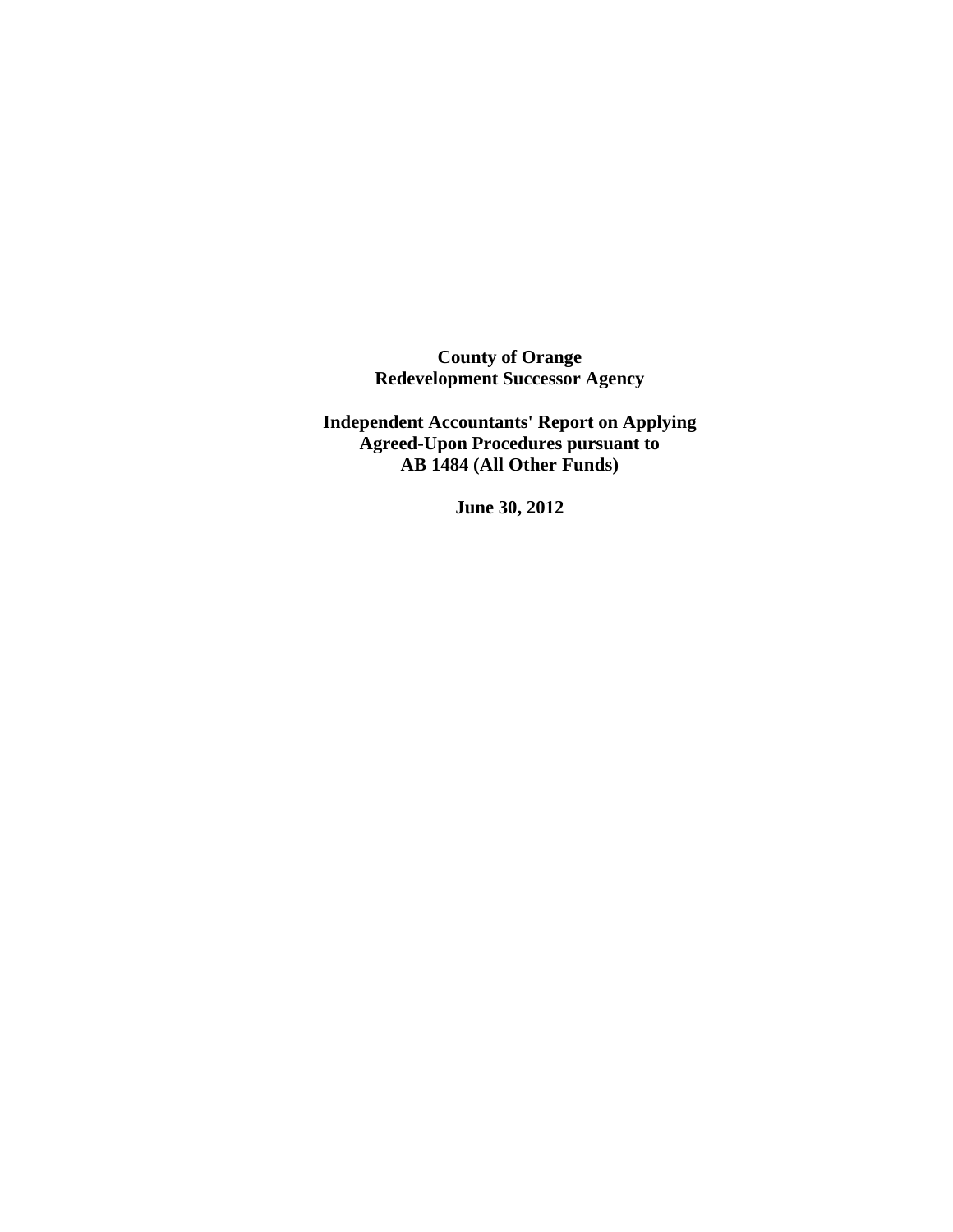**County of Orange Redevelopment Successor Agency** 

**Independent Accountants' Report on Applying Agreed-Upon Procedures pursuant to AB 1484 (All Other Funds)** 

**June 30, 2012**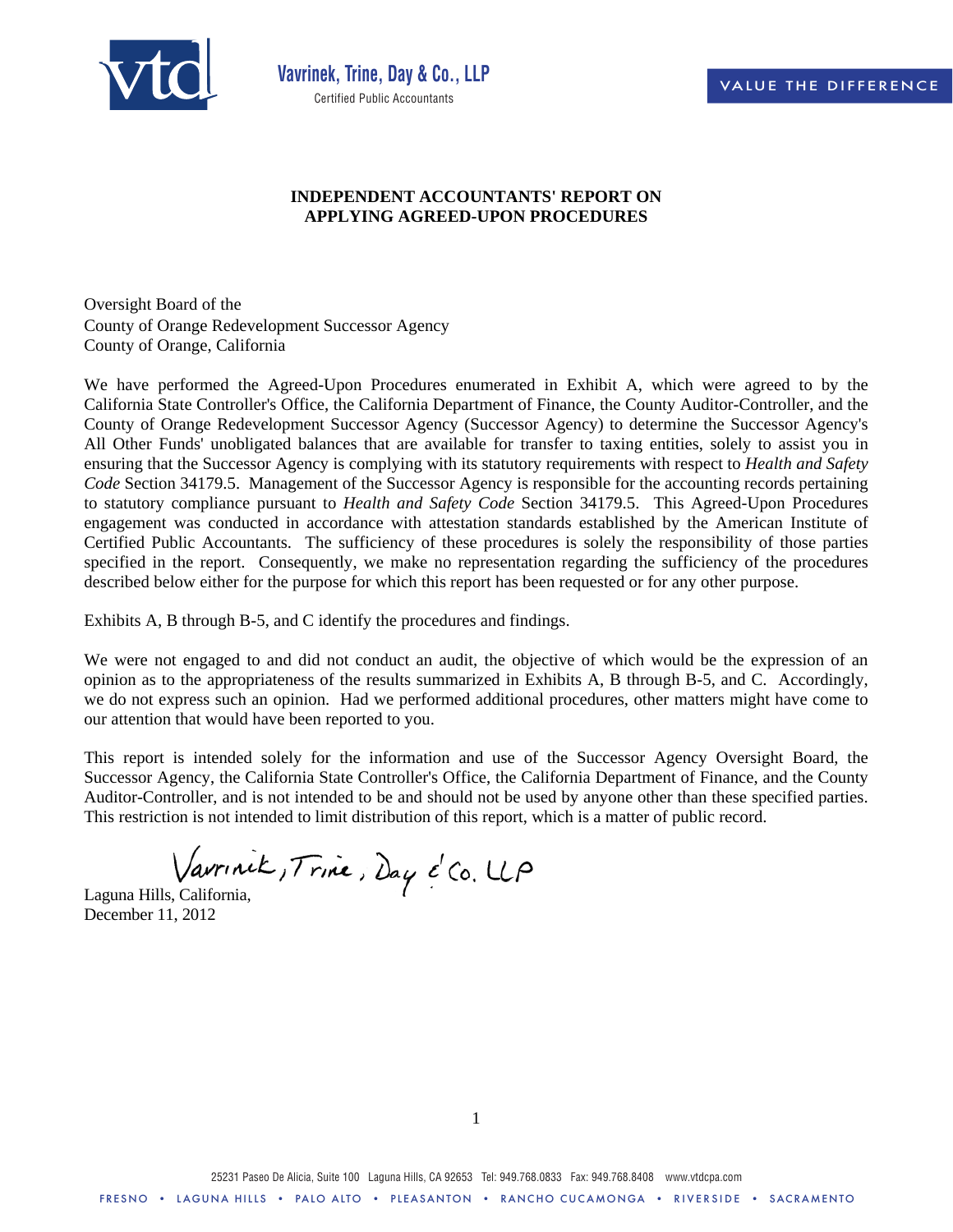

## **INDEPENDENT ACCOUNTANTS' REPORT ON APPLYING AGREED-UPON PROCEDURES**

Oversight Board of the County of Orange Redevelopment Successor Agency County of Orange, California

We have performed the Agreed-Upon Procedures enumerated in Exhibit A, which were agreed to by the California State Controller's Office, the California Department of Finance, the County Auditor-Controller, and the County of Orange Redevelopment Successor Agency (Successor Agency) to determine the Successor Agency's All Other Funds' unobligated balances that are available for transfer to taxing entities, solely to assist you in ensuring that the Successor Agency is complying with its statutory requirements with respect to *Health and Safety Code* Section 34179.5. Management of the Successor Agency is responsible for the accounting records pertaining to statutory compliance pursuant to *Health and Safety Code* Section 34179.5. This Agreed-Upon Procedures engagement was conducted in accordance with attestation standards established by the American Institute of Certified Public Accountants. The sufficiency of these procedures is solely the responsibility of those parties specified in the report. Consequently, we make no representation regarding the sufficiency of the procedures described below either for the purpose for which this report has been requested or for any other purpose.

Exhibits A, B through B-5, and C identify the procedures and findings.

We were not engaged to and did not conduct an audit, the objective of which would be the expression of an opinion as to the appropriateness of the results summarized in Exhibits A, B through B-5, and C. Accordingly, we do not express such an opinion. Had we performed additional procedures, other matters might have come to our attention that would have been reported to you.

This report is intended solely for the information and use of the Successor Agency Oversight Board, the Successor Agency, the California State Controller's Office, the California Department of Finance, and the County Auditor-Controller, and is not intended to be and should not be used by anyone other than these specified parties. This restriction is not intended to limit distribution of this report, which is a matter of public record.

Vaurinik, Trine, Day é Co. UP

December 11, 2012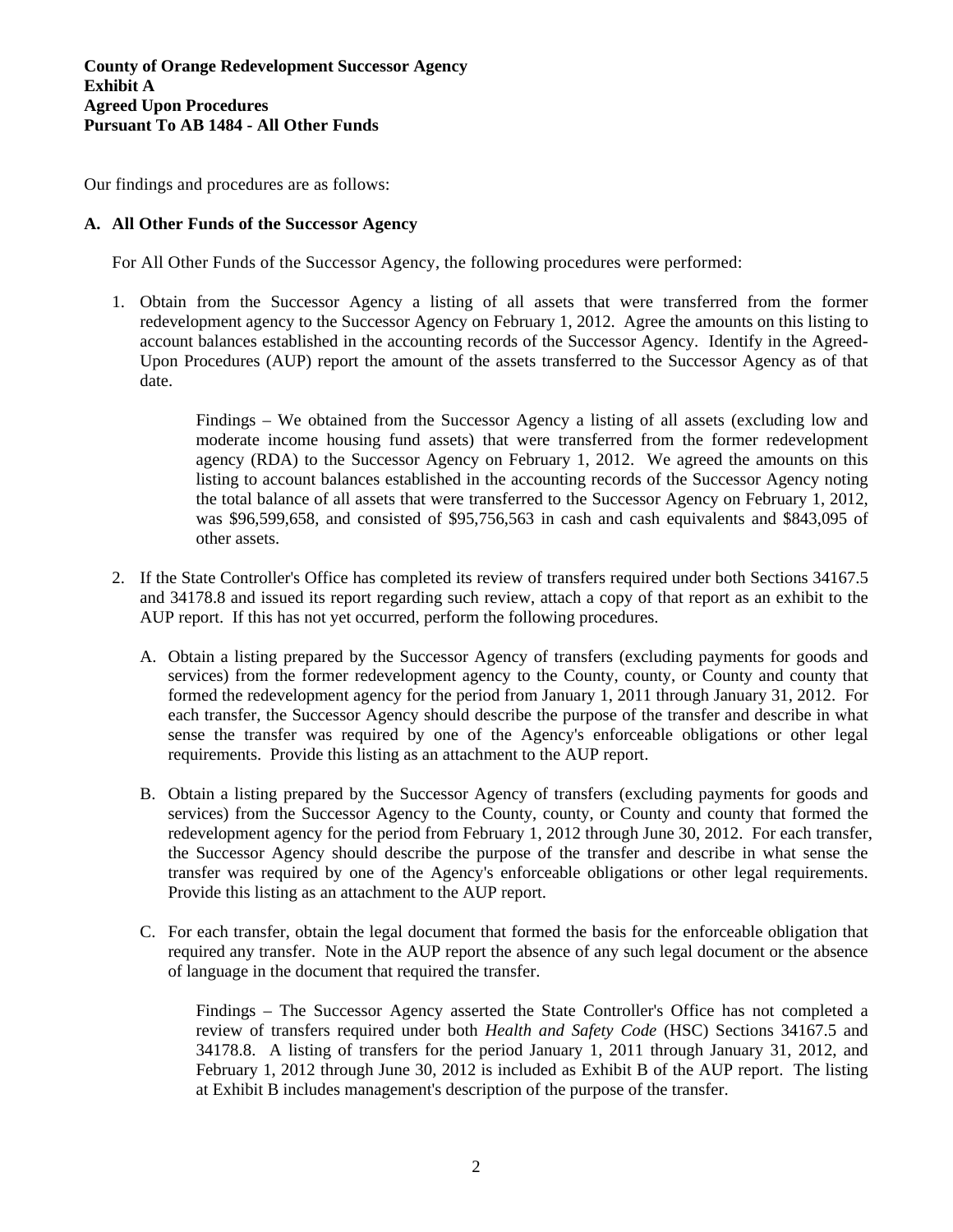## **County of Orange Redevelopment Successor Agency Exhibit A Agreed Upon Procedures Pursuant To AB 1484 - All Other Funds**

Our findings and procedures are as follows:

### **A. All Other Funds of the Successor Agency**

For All Other Funds of the Successor Agency, the following procedures were performed:

1. Obtain from the Successor Agency a listing of all assets that were transferred from the former redevelopment agency to the Successor Agency on February 1, 2012. Agree the amounts on this listing to account balances established in the accounting records of the Successor Agency. Identify in the Agreed-Upon Procedures (AUP) report the amount of the assets transferred to the Successor Agency as of that date.

> Findings – We obtained from the Successor Agency a listing of all assets (excluding low and moderate income housing fund assets) that were transferred from the former redevelopment agency (RDA) to the Successor Agency on February 1, 2012. We agreed the amounts on this listing to account balances established in the accounting records of the Successor Agency noting the total balance of all assets that were transferred to the Successor Agency on February 1, 2012, was \$96,599,658, and consisted of \$95,756,563 in cash and cash equivalents and \$843,095 of other assets.

- 2. If the State Controller's Office has completed its review of transfers required under both Sections 34167.5 and 34178.8 and issued its report regarding such review, attach a copy of that report as an exhibit to the AUP report. If this has not yet occurred, perform the following procedures.
	- A. Obtain a listing prepared by the Successor Agency of transfers (excluding payments for goods and services) from the former redevelopment agency to the County, county, or County and county that formed the redevelopment agency for the period from January 1, 2011 through January 31, 2012. For each transfer, the Successor Agency should describe the purpose of the transfer and describe in what sense the transfer was required by one of the Agency's enforceable obligations or other legal requirements. Provide this listing as an attachment to the AUP report.
	- B. Obtain a listing prepared by the Successor Agency of transfers (excluding payments for goods and services) from the Successor Agency to the County, county, or County and county that formed the redevelopment agency for the period from February 1, 2012 through June 30, 2012. For each transfer, the Successor Agency should describe the purpose of the transfer and describe in what sense the transfer was required by one of the Agency's enforceable obligations or other legal requirements. Provide this listing as an attachment to the AUP report.
	- C. For each transfer, obtain the legal document that formed the basis for the enforceable obligation that required any transfer. Note in the AUP report the absence of any such legal document or the absence of language in the document that required the transfer.

Findings – The Successor Agency asserted the State Controller's Office has not completed a review of transfers required under both *Health and Safety Code* (HSC) Sections 34167.5 and 34178.8. A listing of transfers for the period January 1, 2011 through January 31, 2012, and February 1, 2012 through June 30, 2012 is included as Exhibit B of the AUP report. The listing at Exhibit B includes management's description of the purpose of the transfer.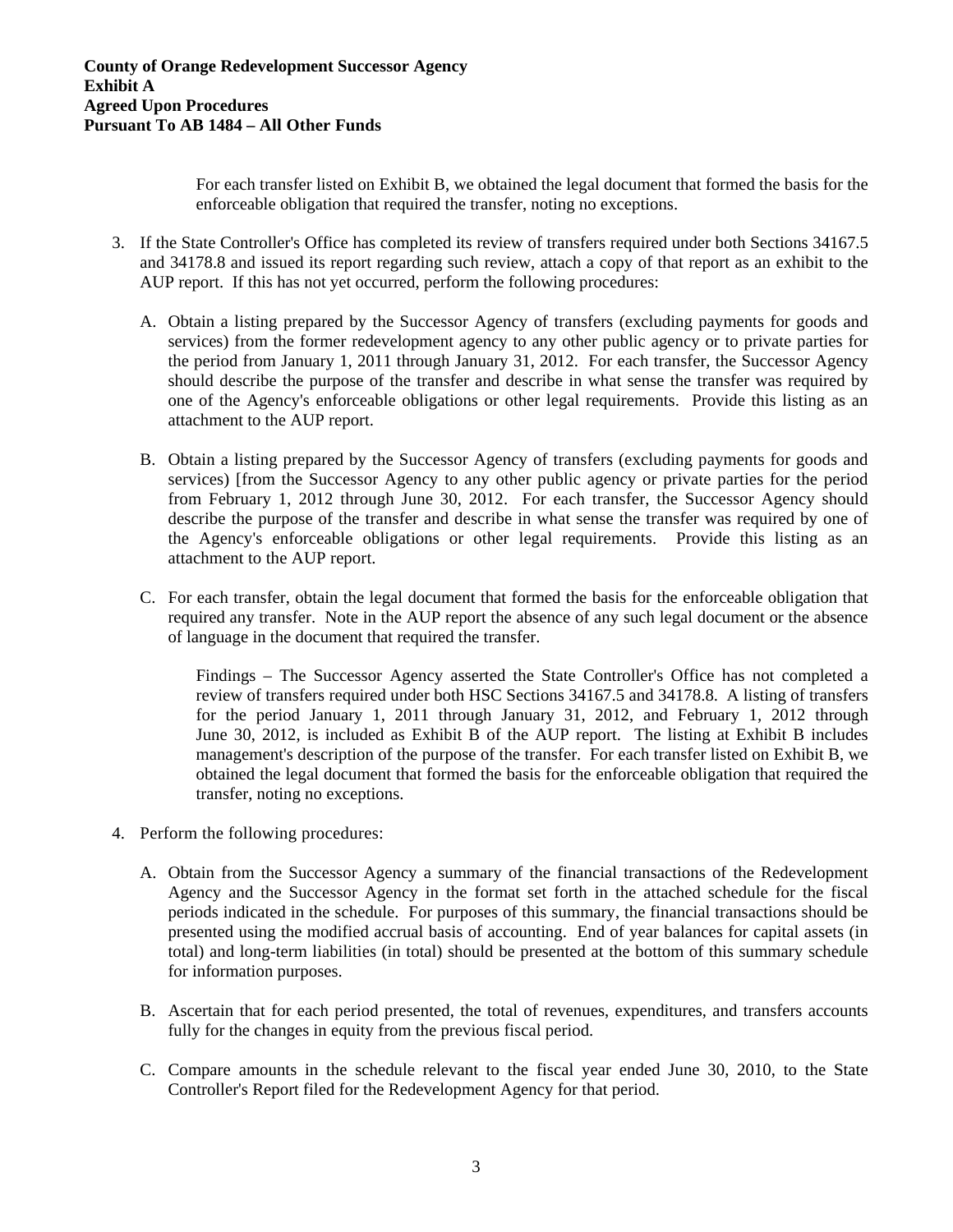For each transfer listed on Exhibit B, we obtained the legal document that formed the basis for the enforceable obligation that required the transfer, noting no exceptions.

- 3. If the State Controller's Office has completed its review of transfers required under both Sections 34167.5 and 34178.8 and issued its report regarding such review, attach a copy of that report as an exhibit to the AUP report. If this has not yet occurred, perform the following procedures:
	- A. Obtain a listing prepared by the Successor Agency of transfers (excluding payments for goods and services) from the former redevelopment agency to any other public agency or to private parties for the period from January 1, 2011 through January 31, 2012. For each transfer, the Successor Agency should describe the purpose of the transfer and describe in what sense the transfer was required by one of the Agency's enforceable obligations or other legal requirements. Provide this listing as an attachment to the AUP report.
	- B. Obtain a listing prepared by the Successor Agency of transfers (excluding payments for goods and services) [from the Successor Agency to any other public agency or private parties for the period from February 1, 2012 through June 30, 2012. For each transfer, the Successor Agency should describe the purpose of the transfer and describe in what sense the transfer was required by one of the Agency's enforceable obligations or other legal requirements. Provide this listing as an attachment to the AUP report.
	- C. For each transfer, obtain the legal document that formed the basis for the enforceable obligation that required any transfer. Note in the AUP report the absence of any such legal document or the absence of language in the document that required the transfer.

Findings – The Successor Agency asserted the State Controller's Office has not completed a review of transfers required under both HSC Sections 34167.5 and 34178.8. A listing of transfers for the period January 1, 2011 through January 31, 2012, and February 1, 2012 through June 30, 2012, is included as Exhibit B of the AUP report. The listing at Exhibit B includes management's description of the purpose of the transfer. For each transfer listed on Exhibit B, we obtained the legal document that formed the basis for the enforceable obligation that required the transfer, noting no exceptions.

- 4. Perform the following procedures:
	- A. Obtain from the Successor Agency a summary of the financial transactions of the Redevelopment Agency and the Successor Agency in the format set forth in the attached schedule for the fiscal periods indicated in the schedule. For purposes of this summary, the financial transactions should be presented using the modified accrual basis of accounting. End of year balances for capital assets (in total) and long-term liabilities (in total) should be presented at the bottom of this summary schedule for information purposes.
	- B. Ascertain that for each period presented, the total of revenues, expenditures, and transfers accounts fully for the changes in equity from the previous fiscal period.
	- C. Compare amounts in the schedule relevant to the fiscal year ended June 30, 2010, to the State Controller's Report filed for the Redevelopment Agency for that period.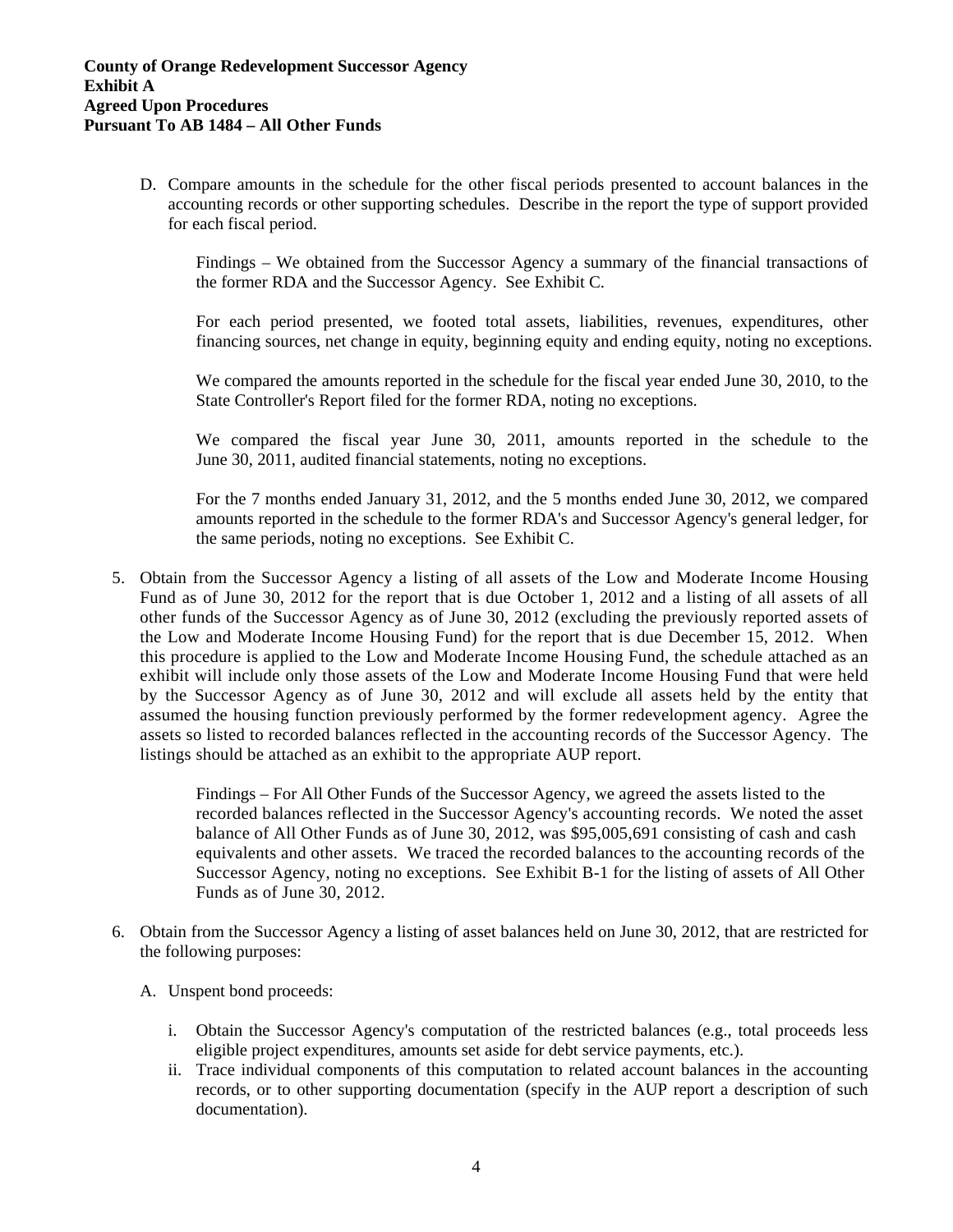D. Compare amounts in the schedule for the other fiscal periods presented to account balances in the accounting records or other supporting schedules. Describe in the report the type of support provided for each fiscal period.

Findings – We obtained from the Successor Agency a summary of the financial transactions of the former RDA and the Successor Agency. See Exhibit C.

For each period presented, we footed total assets, liabilities, revenues, expenditures, other financing sources, net change in equity, beginning equity and ending equity, noting no exceptions.

We compared the amounts reported in the schedule for the fiscal year ended June 30, 2010, to the State Controller's Report filed for the former RDA, noting no exceptions.

We compared the fiscal year June 30, 2011, amounts reported in the schedule to the June 30, 2011, audited financial statements, noting no exceptions.

For the 7 months ended January 31, 2012, and the 5 months ended June 30, 2012, we compared amounts reported in the schedule to the former RDA's and Successor Agency's general ledger, for the same periods, noting no exceptions. See Exhibit C.

5. Obtain from the Successor Agency a listing of all assets of the Low and Moderate Income Housing Fund as of June 30, 2012 for the report that is due October 1, 2012 and a listing of all assets of all other funds of the Successor Agency as of June 30, 2012 (excluding the previously reported assets of the Low and Moderate Income Housing Fund) for the report that is due December 15, 2012. When this procedure is applied to the Low and Moderate Income Housing Fund, the schedule attached as an exhibit will include only those assets of the Low and Moderate Income Housing Fund that were held by the Successor Agency as of June 30, 2012 and will exclude all assets held by the entity that assumed the housing function previously performed by the former redevelopment agency. Agree the assets so listed to recorded balances reflected in the accounting records of the Successor Agency. The listings should be attached as an exhibit to the appropriate AUP report.

> Findings – For All Other Funds of the Successor Agency, we agreed the assets listed to the recorded balances reflected in the Successor Agency's accounting records. We noted the asset balance of All Other Funds as of June 30, 2012, was \$95,005,691 consisting of cash and cash equivalents and other assets. We traced the recorded balances to the accounting records of the Successor Agency, noting no exceptions. See Exhibit B-1 for the listing of assets of All Other Funds as of June 30, 2012.

- 6. Obtain from the Successor Agency a listing of asset balances held on June 30, 2012, that are restricted for the following purposes:
	- A. Unspent bond proceeds:
		- i. Obtain the Successor Agency's computation of the restricted balances (e.g., total proceeds less eligible project expenditures, amounts set aside for debt service payments, etc.).
		- ii. Trace individual components of this computation to related account balances in the accounting records, or to other supporting documentation (specify in the AUP report a description of such documentation).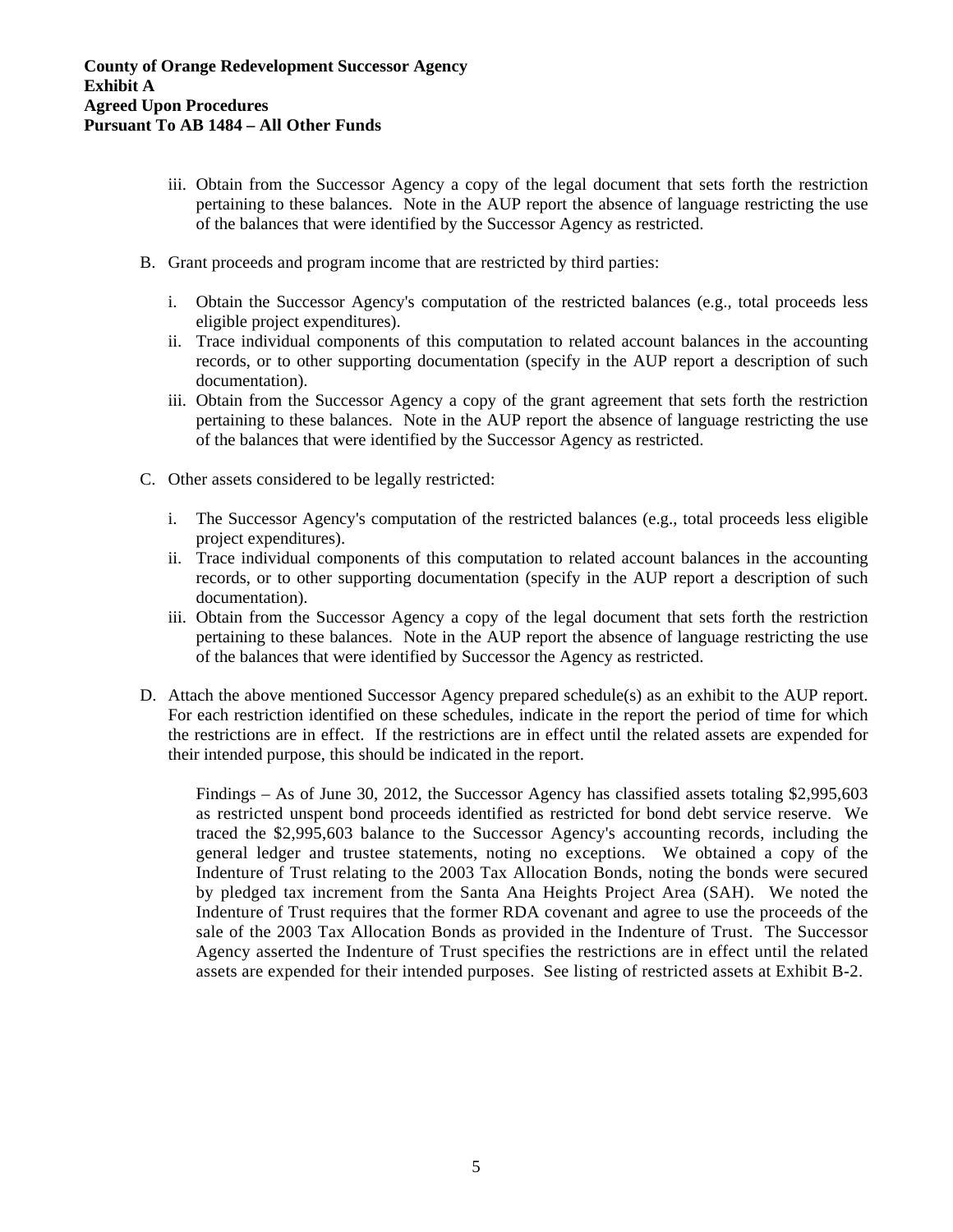- iii. Obtain from the Successor Agency a copy of the legal document that sets forth the restriction pertaining to these balances. Note in the AUP report the absence of language restricting the use of the balances that were identified by the Successor Agency as restricted.
- B. Grant proceeds and program income that are restricted by third parties:
	- i. Obtain the Successor Agency's computation of the restricted balances (e.g., total proceeds less eligible project expenditures).
	- ii. Trace individual components of this computation to related account balances in the accounting records, or to other supporting documentation (specify in the AUP report a description of such documentation).
	- iii. Obtain from the Successor Agency a copy of the grant agreement that sets forth the restriction pertaining to these balances. Note in the AUP report the absence of language restricting the use of the balances that were identified by the Successor Agency as restricted.
- C. Other assets considered to be legally restricted:
	- i. The Successor Agency's computation of the restricted balances (e.g., total proceeds less eligible project expenditures).
	- ii. Trace individual components of this computation to related account balances in the accounting records, or to other supporting documentation (specify in the AUP report a description of such documentation).
	- iii. Obtain from the Successor Agency a copy of the legal document that sets forth the restriction pertaining to these balances. Note in the AUP report the absence of language restricting the use of the balances that were identified by Successor the Agency as restricted.
- D. Attach the above mentioned Successor Agency prepared schedule(s) as an exhibit to the AUP report. For each restriction identified on these schedules, indicate in the report the period of time for which the restrictions are in effect. If the restrictions are in effect until the related assets are expended for their intended purpose, this should be indicated in the report.

Findings – As of June 30, 2012, the Successor Agency has classified assets totaling \$2,995,603 as restricted unspent bond proceeds identified as restricted for bond debt service reserve. We traced the \$2,995,603 balance to the Successor Agency's accounting records, including the general ledger and trustee statements, noting no exceptions. We obtained a copy of the Indenture of Trust relating to the 2003 Tax Allocation Bonds, noting the bonds were secured by pledged tax increment from the Santa Ana Heights Project Area (SAH). We noted the Indenture of Trust requires that the former RDA covenant and agree to use the proceeds of the sale of the 2003 Tax Allocation Bonds as provided in the Indenture of Trust. The Successor Agency asserted the Indenture of Trust specifies the restrictions are in effect until the related assets are expended for their intended purposes. See listing of restricted assets at Exhibit B-2.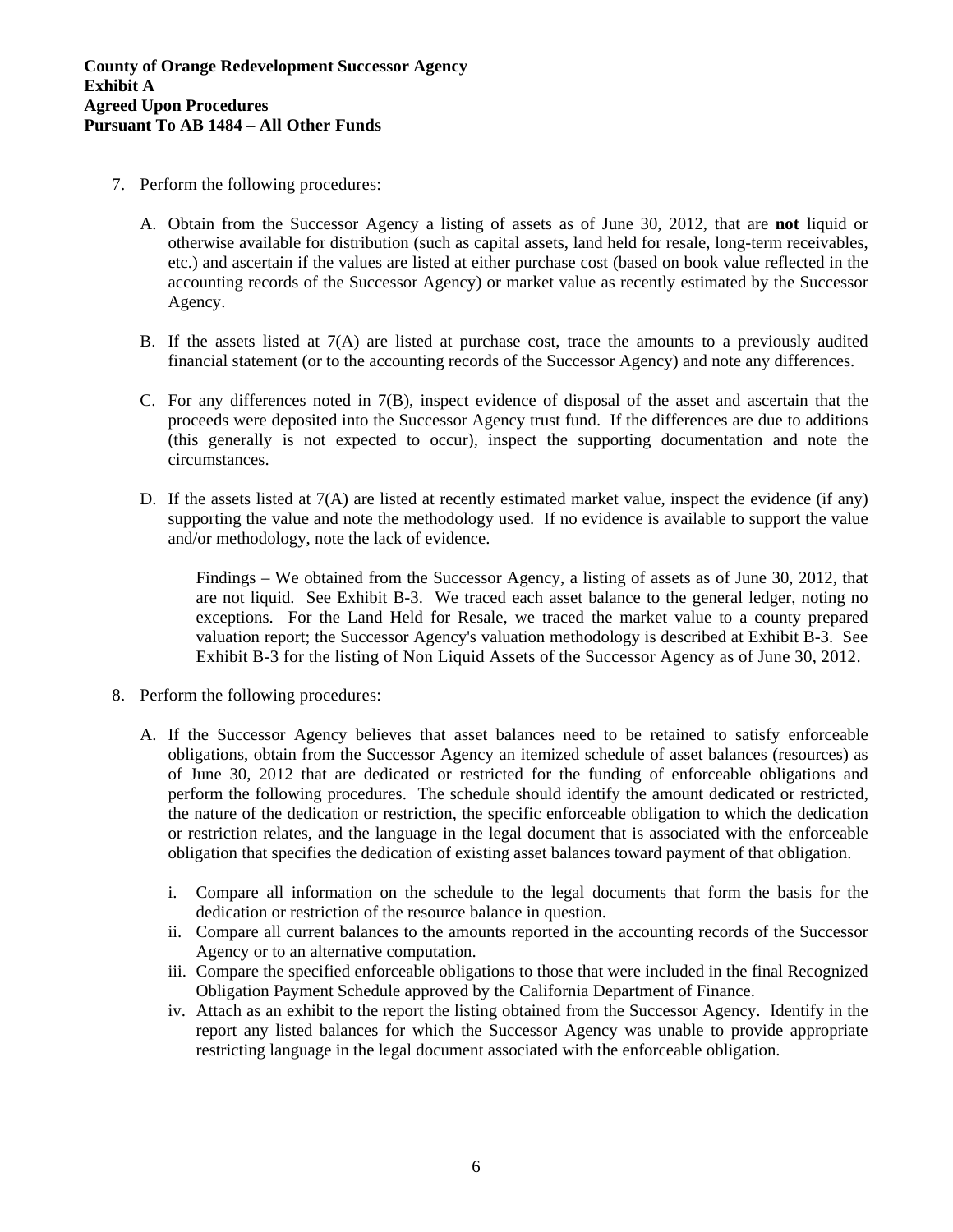- 7. Perform the following procedures:
	- A. Obtain from the Successor Agency a listing of assets as of June 30, 2012, that are **not** liquid or otherwise available for distribution (such as capital assets, land held for resale, long-term receivables, etc.) and ascertain if the values are listed at either purchase cost (based on book value reflected in the accounting records of the Successor Agency) or market value as recently estimated by the Successor Agency.
	- B. If the assets listed at 7(A) are listed at purchase cost, trace the amounts to a previously audited financial statement (or to the accounting records of the Successor Agency) and note any differences.
	- C. For any differences noted in  $7(B)$ , inspect evidence of disposal of the asset and ascertain that the proceeds were deposited into the Successor Agency trust fund. If the differences are due to additions (this generally is not expected to occur), inspect the supporting documentation and note the circumstances.
	- D. If the assets listed at  $7(A)$  are listed at recently estimated market value, inspect the evidence (if any) supporting the value and note the methodology used. If no evidence is available to support the value and/or methodology, note the lack of evidence.

Findings – We obtained from the Successor Agency, a listing of assets as of June 30, 2012, that are not liquid. See Exhibit B-3. We traced each asset balance to the general ledger, noting no exceptions. For the Land Held for Resale, we traced the market value to a county prepared valuation report; the Successor Agency's valuation methodology is described at Exhibit B-3. See Exhibit B-3 for the listing of Non Liquid Assets of the Successor Agency as of June 30, 2012.

- 8. Perform the following procedures:
	- A. If the Successor Agency believes that asset balances need to be retained to satisfy enforceable obligations, obtain from the Successor Agency an itemized schedule of asset balances (resources) as of June 30, 2012 that are dedicated or restricted for the funding of enforceable obligations and perform the following procedures. The schedule should identify the amount dedicated or restricted, the nature of the dedication or restriction, the specific enforceable obligation to which the dedication or restriction relates, and the language in the legal document that is associated with the enforceable obligation that specifies the dedication of existing asset balances toward payment of that obligation.
		- i. Compare all information on the schedule to the legal documents that form the basis for the dedication or restriction of the resource balance in question.
		- ii. Compare all current balances to the amounts reported in the accounting records of the Successor Agency or to an alternative computation.
		- iii. Compare the specified enforceable obligations to those that were included in the final Recognized Obligation Payment Schedule approved by the California Department of Finance.
		- iv. Attach as an exhibit to the report the listing obtained from the Successor Agency. Identify in the report any listed balances for which the Successor Agency was unable to provide appropriate restricting language in the legal document associated with the enforceable obligation.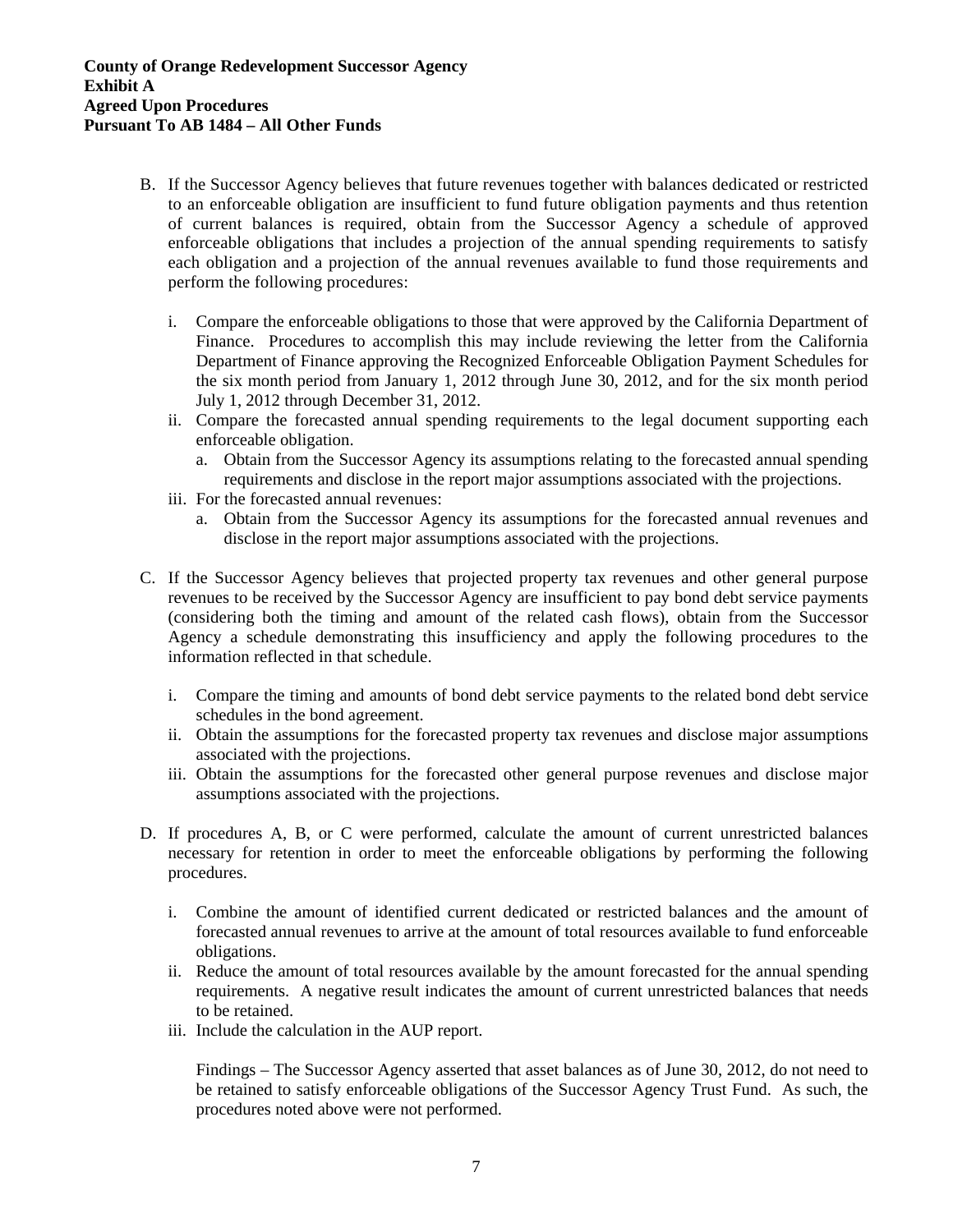- B. If the Successor Agency believes that future revenues together with balances dedicated or restricted to an enforceable obligation are insufficient to fund future obligation payments and thus retention of current balances is required, obtain from the Successor Agency a schedule of approved enforceable obligations that includes a projection of the annual spending requirements to satisfy each obligation and a projection of the annual revenues available to fund those requirements and perform the following procedures:
	- i. Compare the enforceable obligations to those that were approved by the California Department of Finance. Procedures to accomplish this may include reviewing the letter from the California Department of Finance approving the Recognized Enforceable Obligation Payment Schedules for the six month period from January 1, 2012 through June 30, 2012, and for the six month period July 1, 2012 through December 31, 2012.
	- ii. Compare the forecasted annual spending requirements to the legal document supporting each enforceable obligation.
		- a. Obtain from the Successor Agency its assumptions relating to the forecasted annual spending requirements and disclose in the report major assumptions associated with the projections.
	- iii. For the forecasted annual revenues:
		- a. Obtain from the Successor Agency its assumptions for the forecasted annual revenues and disclose in the report major assumptions associated with the projections.
- C. If the Successor Agency believes that projected property tax revenues and other general purpose revenues to be received by the Successor Agency are insufficient to pay bond debt service payments (considering both the timing and amount of the related cash flows), obtain from the Successor Agency a schedule demonstrating this insufficiency and apply the following procedures to the information reflected in that schedule.
	- i. Compare the timing and amounts of bond debt service payments to the related bond debt service schedules in the bond agreement.
	- ii. Obtain the assumptions for the forecasted property tax revenues and disclose major assumptions associated with the projections.
	- iii. Obtain the assumptions for the forecasted other general purpose revenues and disclose major assumptions associated with the projections.
- D. If procedures A, B, or C were performed, calculate the amount of current unrestricted balances necessary for retention in order to meet the enforceable obligations by performing the following procedures.
	- i. Combine the amount of identified current dedicated or restricted balances and the amount of forecasted annual revenues to arrive at the amount of total resources available to fund enforceable obligations.
	- ii. Reduce the amount of total resources available by the amount forecasted for the annual spending requirements. A negative result indicates the amount of current unrestricted balances that needs to be retained.
	- iii. Include the calculation in the AUP report.

Findings – The Successor Agency asserted that asset balances as of June 30, 2012, do not need to be retained to satisfy enforceable obligations of the Successor Agency Trust Fund. As such, the procedures noted above were not performed.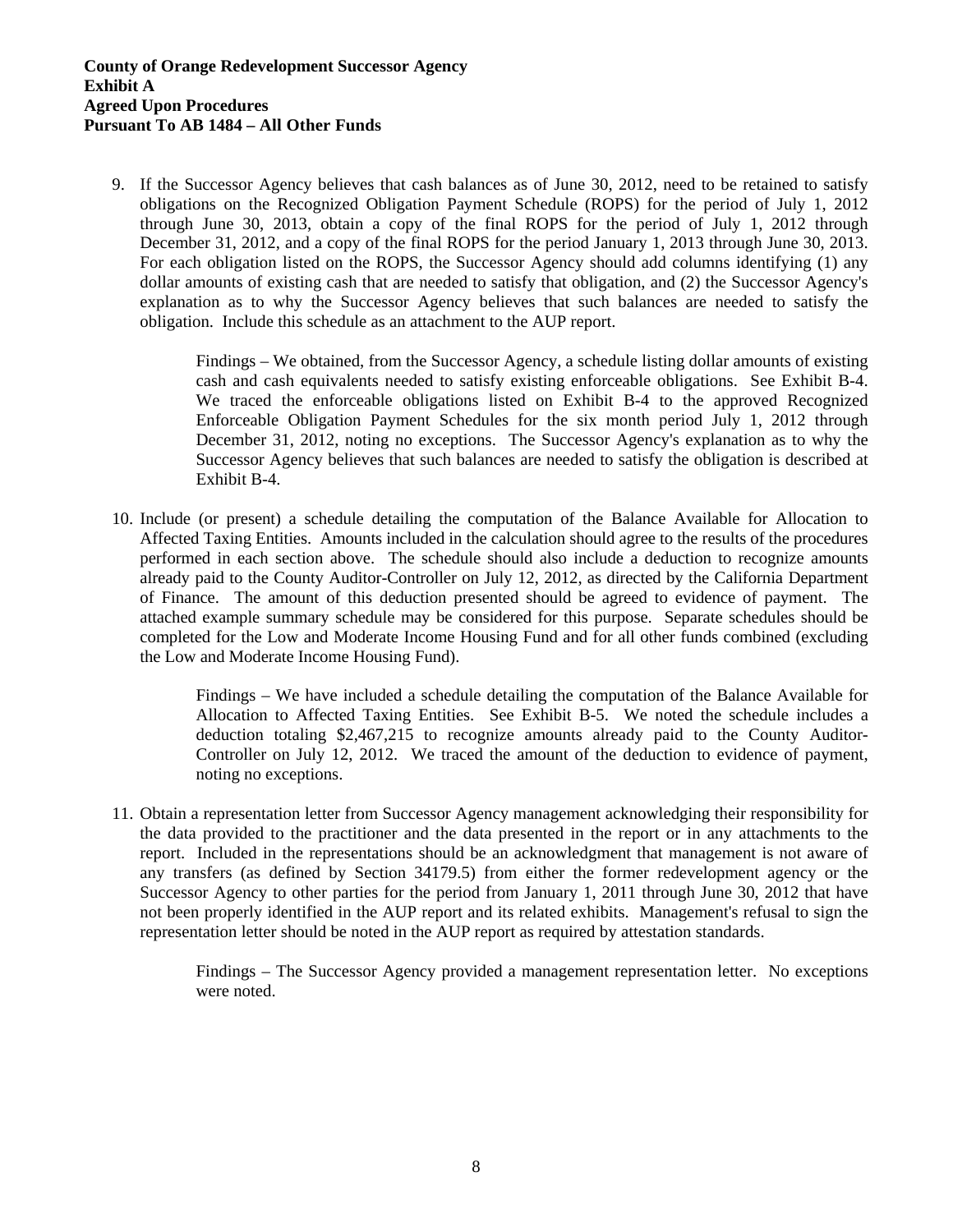9. If the Successor Agency believes that cash balances as of June 30, 2012, need to be retained to satisfy obligations on the Recognized Obligation Payment Schedule (ROPS) for the period of July 1, 2012 through June 30, 2013, obtain a copy of the final ROPS for the period of July 1, 2012 through December 31, 2012, and a copy of the final ROPS for the period January 1, 2013 through June 30, 2013. For each obligation listed on the ROPS, the Successor Agency should add columns identifying (1) any dollar amounts of existing cash that are needed to satisfy that obligation, and (2) the Successor Agency's explanation as to why the Successor Agency believes that such balances are needed to satisfy the obligation. Include this schedule as an attachment to the AUP report.

> Findings – We obtained, from the Successor Agency, a schedule listing dollar amounts of existing cash and cash equivalents needed to satisfy existing enforceable obligations. See Exhibit B-4. We traced the enforceable obligations listed on Exhibit B-4 to the approved Recognized Enforceable Obligation Payment Schedules for the six month period July 1, 2012 through December 31, 2012, noting no exceptions. The Successor Agency's explanation as to why the Successor Agency believes that such balances are needed to satisfy the obligation is described at Exhibit B-4.

10. Include (or present) a schedule detailing the computation of the Balance Available for Allocation to Affected Taxing Entities. Amounts included in the calculation should agree to the results of the procedures performed in each section above. The schedule should also include a deduction to recognize amounts already paid to the County Auditor-Controller on July 12, 2012, as directed by the California Department of Finance. The amount of this deduction presented should be agreed to evidence of payment. The attached example summary schedule may be considered for this purpose. Separate schedules should be completed for the Low and Moderate Income Housing Fund and for all other funds combined (excluding the Low and Moderate Income Housing Fund).

> Findings – We have included a schedule detailing the computation of the Balance Available for Allocation to Affected Taxing Entities. See Exhibit B-5. We noted the schedule includes a deduction totaling \$2,467,215 to recognize amounts already paid to the County Auditor-Controller on July 12, 2012. We traced the amount of the deduction to evidence of payment, noting no exceptions.

11. Obtain a representation letter from Successor Agency management acknowledging their responsibility for the data provided to the practitioner and the data presented in the report or in any attachments to the report. Included in the representations should be an acknowledgment that management is not aware of any transfers (as defined by Section 34179.5) from either the former redevelopment agency or the Successor Agency to other parties for the period from January 1, 2011 through June 30, 2012 that have not been properly identified in the AUP report and its related exhibits. Management's refusal to sign the representation letter should be noted in the AUP report as required by attestation standards.

> Findings – The Successor Agency provided a management representation letter. No exceptions were noted.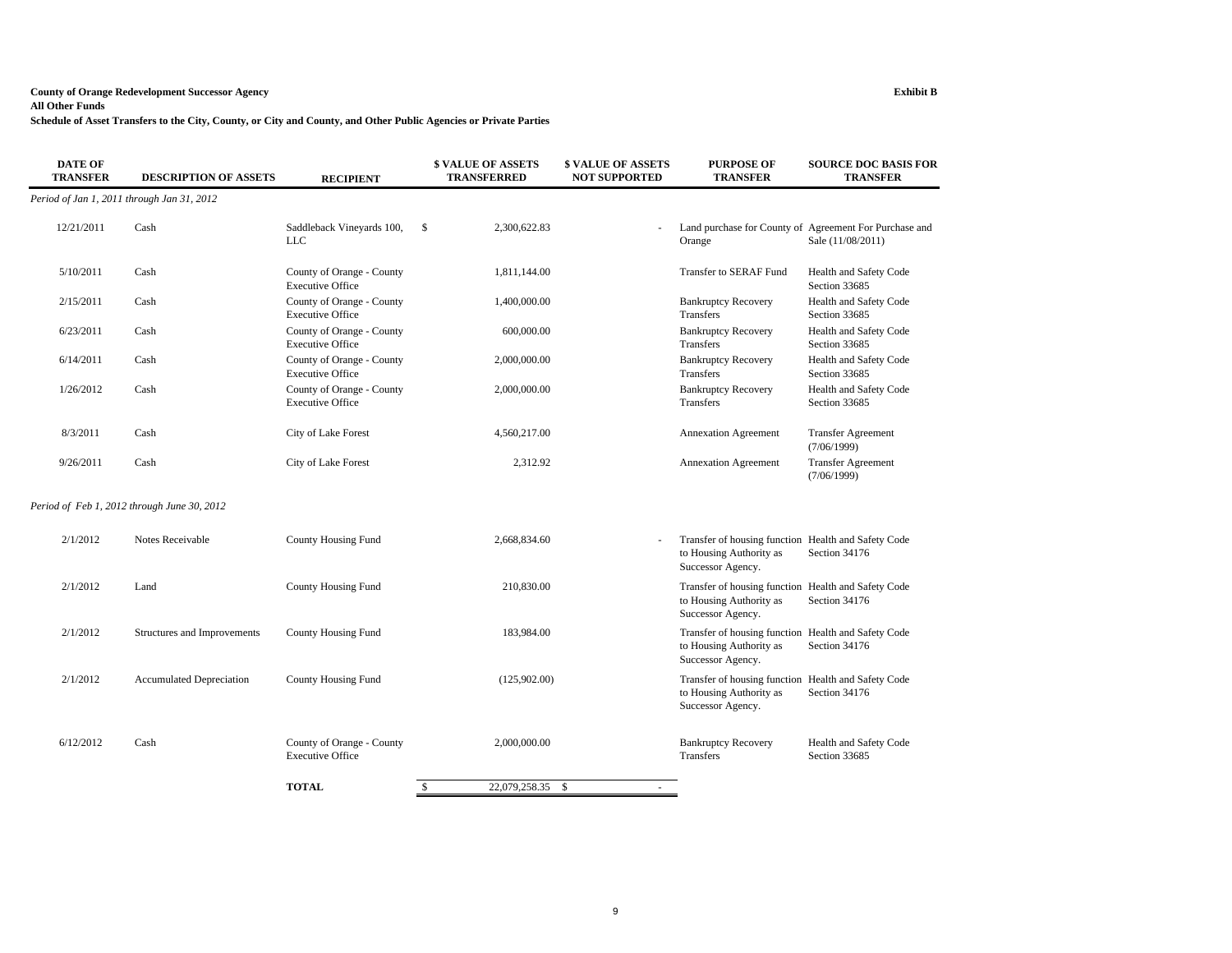### **County of Orange Redevelopment Successor Agency Exhibit B**

### **All Other Funds**

**Schedule of Asset Transfers to the City, County, or City and County, and Other Public Agencies or Private Parties**

| <b>DATE OF</b><br><b>TRANSFER</b> | <b>DESCRIPTION OF ASSETS</b>                | <b>RECIPIENT</b>                                     | <b>\$ VALUE OF ASSETS</b><br><b>TRANSFERRED</b> | <b>\$ VALUE OF ASSETS</b><br><b>NOT SUPPORTED</b> | <b>PURPOSE OF</b><br><b>TRANSFER</b>                                                                | <b>SOURCE DOC BASIS FOR</b><br><b>TRANSFER</b>                              |
|-----------------------------------|---------------------------------------------|------------------------------------------------------|-------------------------------------------------|---------------------------------------------------|-----------------------------------------------------------------------------------------------------|-----------------------------------------------------------------------------|
|                                   | Period of Jan 1, 2011 through Jan 31, 2012  |                                                      |                                                 |                                                   |                                                                                                     |                                                                             |
| 12/21/2011                        | Cash                                        | Saddleback Vineyards 100,<br><b>LLC</b>              | \$<br>2,300,622.83                              |                                                   | Orange                                                                                              | Land purchase for County of Agreement For Purchase and<br>Sale (11/08/2011) |
| 5/10/2011                         | Cash                                        | County of Orange - County<br><b>Executive Office</b> | 1,811,144.00                                    |                                                   | Transfer to SERAF Fund                                                                              | Health and Safety Code<br>Section 33685                                     |
| 2/15/2011                         | Cash                                        | County of Orange - County<br><b>Executive Office</b> | 1,400,000.00                                    |                                                   | <b>Bankruptcy Recovery</b><br>Transfers                                                             | Health and Safety Code<br>Section 33685                                     |
| 6/23/2011                         | Cash                                        | County of Orange - County<br><b>Executive Office</b> | 600,000.00                                      |                                                   | <b>Bankruptcy Recovery</b><br>Transfers                                                             | Health and Safety Code<br>Section 33685                                     |
| 6/14/2011                         | Cash                                        | County of Orange - County<br><b>Executive Office</b> | 2,000,000.00                                    |                                                   | <b>Bankruptcy Recovery</b><br>Transfers                                                             | Health and Safety Code<br>Section 33685                                     |
| 1/26/2012                         | Cash                                        | County of Orange - County<br><b>Executive Office</b> | 2,000,000.00                                    |                                                   | <b>Bankruptcy Recovery</b><br><b>Transfers</b>                                                      | Health and Safety Code<br>Section 33685                                     |
| 8/3/2011                          | Cash                                        | City of Lake Forest                                  | 4,560,217.00                                    |                                                   | <b>Annexation Agreement</b>                                                                         | <b>Transfer Agreement</b><br>(7/06/1999)                                    |
| 9/26/2011                         | Cash                                        | City of Lake Forest                                  | 2,312.92                                        |                                                   | <b>Annexation Agreement</b>                                                                         | <b>Transfer Agreement</b><br>(7/06/1999)                                    |
|                                   | Period of Feb 1, 2012 through June 30, 2012 |                                                      |                                                 |                                                   |                                                                                                     |                                                                             |
| 2/1/2012                          | Notes Receivable                            | County Housing Fund                                  | 2,668,834.60                                    |                                                   | Transfer of housing function Health and Safety Code<br>to Housing Authority as<br>Successor Agency. | Section 34176                                                               |
| 2/1/2012                          | Land                                        | County Housing Fund                                  | 210,830.00                                      |                                                   | Transfer of housing function Health and Safety Code<br>to Housing Authority as<br>Successor Agency. | Section 34176                                                               |
| 2/1/2012                          | Structures and Improvements                 | <b>County Housing Fund</b>                           | 183,984.00                                      |                                                   | Transfer of housing function Health and Safety Code<br>to Housing Authority as<br>Successor Agency. | Section 34176                                                               |
| 2/1/2012                          | <b>Accumulated Depreciation</b>             | <b>County Housing Fund</b>                           | (125,902.00)                                    |                                                   | Transfer of housing function Health and Safety Code<br>to Housing Authority as<br>Successor Agency. | Section 34176                                                               |
| 6/12/2012                         | Cash                                        | County of Orange - County<br><b>Executive Office</b> | 2,000,000.00                                    |                                                   | <b>Bankruptcy Recovery</b><br>Transfers                                                             | Health and Safety Code<br>Section 33685                                     |
|                                   |                                             | <b>TOTAL</b>                                         | $\mathbf{s}$<br>22,079,258.35 \$                | $\sim$                                            |                                                                                                     |                                                                             |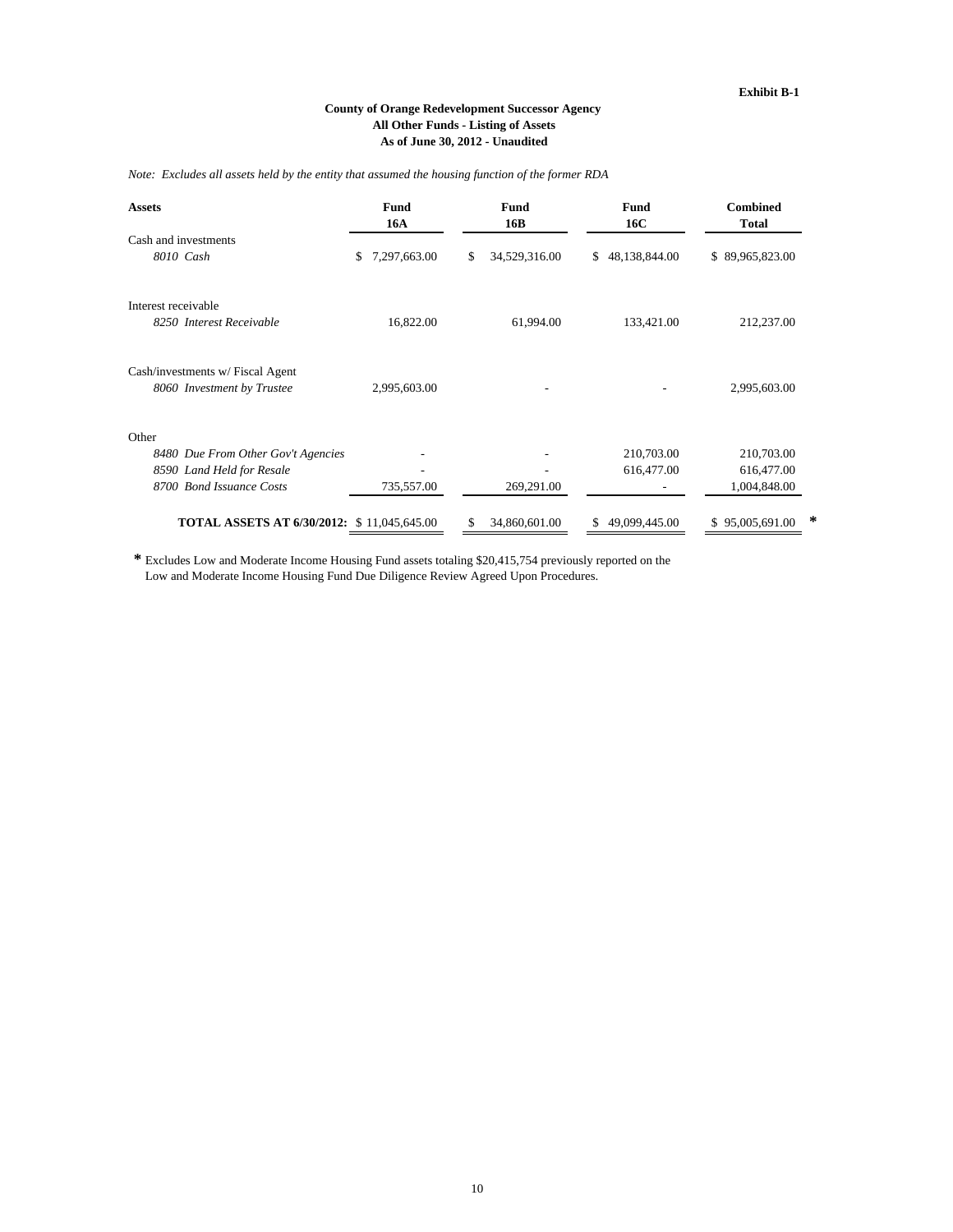### **All Other Funds - Listing of Assets As of June 30, 2012 - Unaudited County of Orange Redevelopment Successor Agency**

*Note: Excludes all assets held by the entity that assumed the housing function of the former RDA*

| <b>Assets</b>                                     | Fund<br><b>16A</b> | Fund<br>16B         | <b>Fund</b><br>16C  |                      |
|---------------------------------------------------|--------------------|---------------------|---------------------|----------------------|
| Cash and investments                              |                    |                     |                     |                      |
| 8010 Cash                                         | 7,297,663.00<br>\$ | 34,529,316.00<br>\$ | 48,138,844.00<br>\$ | \$89,965,823.00      |
| Interest receivable                               |                    |                     |                     |                      |
| 8250 Interest Receivable                          | 16,822.00          | 61,994.00           | 133,421.00          | 212,237.00           |
| Cash/investments w/ Fiscal Agent                  |                    |                     |                     |                      |
| 8060 Investment by Trustee                        | 2,995,603.00       |                     |                     | 2,995,603.00         |
| Other                                             |                    |                     |                     |                      |
| 8480 Due From Other Gov't Agencies                |                    |                     | 210,703.00          | 210,703.00           |
| 8590 Land Held for Resale                         |                    |                     | 616,477.00          | 616,477.00           |
| 8700 Bond Issuance Costs                          | 735,557.00         | 269,291.00          |                     | 1,004,848.00         |
| <b>TOTAL ASSETS AT 6/30/2012: \$11,045,645.00</b> |                    | 34,860,601.00<br>\$ | 49,099,445.00<br>S. | *<br>\$95,005,691.00 |

**\***  Excludes Low and Moderate Income Housing Fund assets totaling \$20,415,754 previously reported on the Low and Moderate Income Housing Fund Due Diligence Review Agreed Upon Procedures.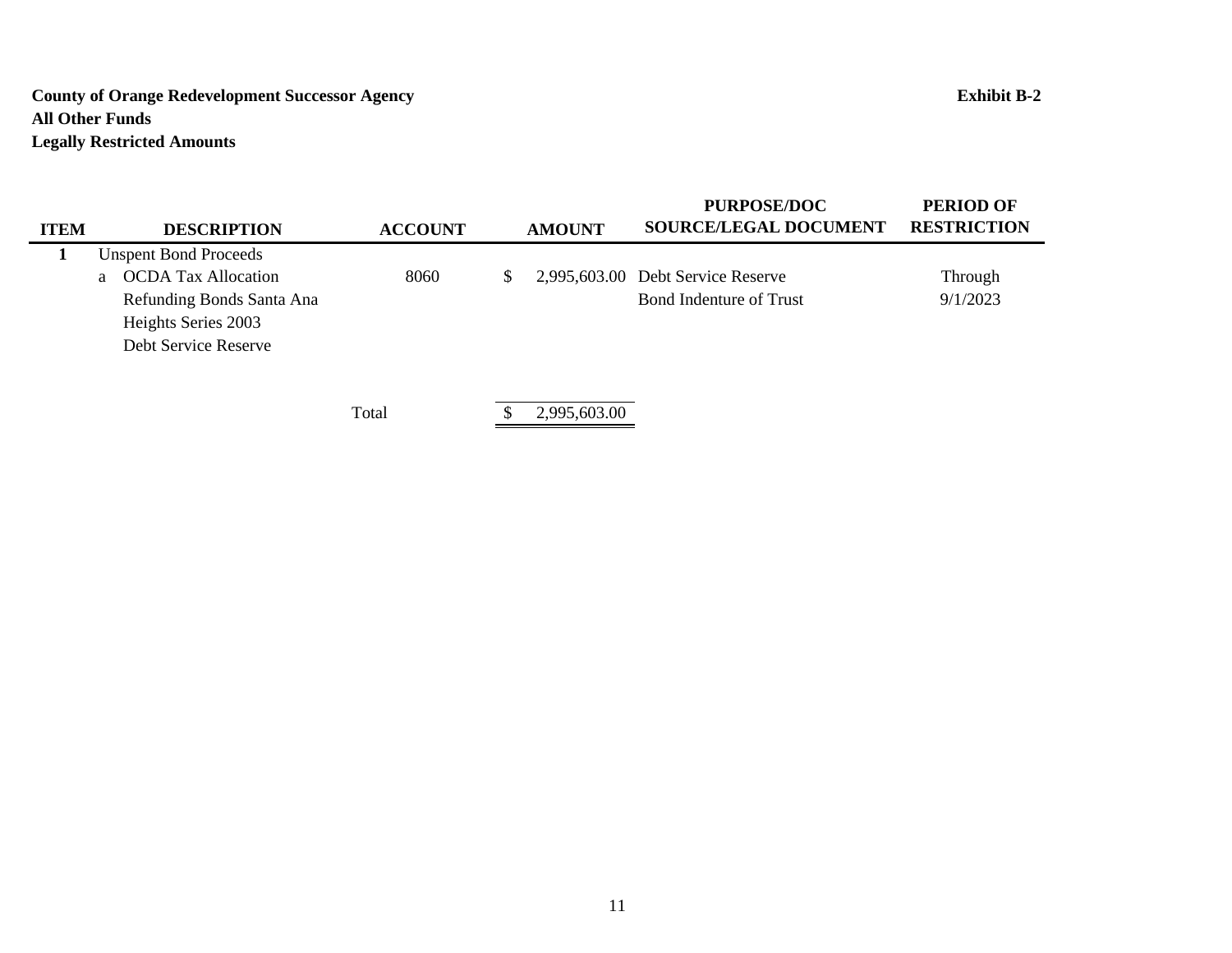# **County of Orange Redevelopment Successor Agency Exhibit B-2 All Other Funds Legally Restricted Amounts**

| <b>ITEM</b> | <b>DESCRIPTION</b>           | <b>ACCOUNT</b> | <b>AMOUNT</b> | <b>PURPOSE/DOC</b><br><b>SOURCE/LEGAL DOCUMENT</b> | <b>PERIOD OF</b><br><b>RESTRICTION</b> |
|-------------|------------------------------|----------------|---------------|----------------------------------------------------|----------------------------------------|
|             | <b>Unspent Bond Proceeds</b> |                |               |                                                    |                                        |
|             | a OCDA Tax Allocation        | 8060           | \$            | 2,995,603.00 Debt Service Reserve                  | Through                                |
|             | Refunding Bonds Santa Ana    |                |               | <b>Bond Indenture of Trust</b>                     | 9/1/2023                               |
|             | Heights Series 2003          |                |               |                                                    |                                        |
|             | Debt Service Reserve         |                |               |                                                    |                                        |
|             |                              |                |               |                                                    |                                        |
|             |                              |                |               |                                                    |                                        |
|             |                              | Total          | 2,995,603.00  |                                                    |                                        |

11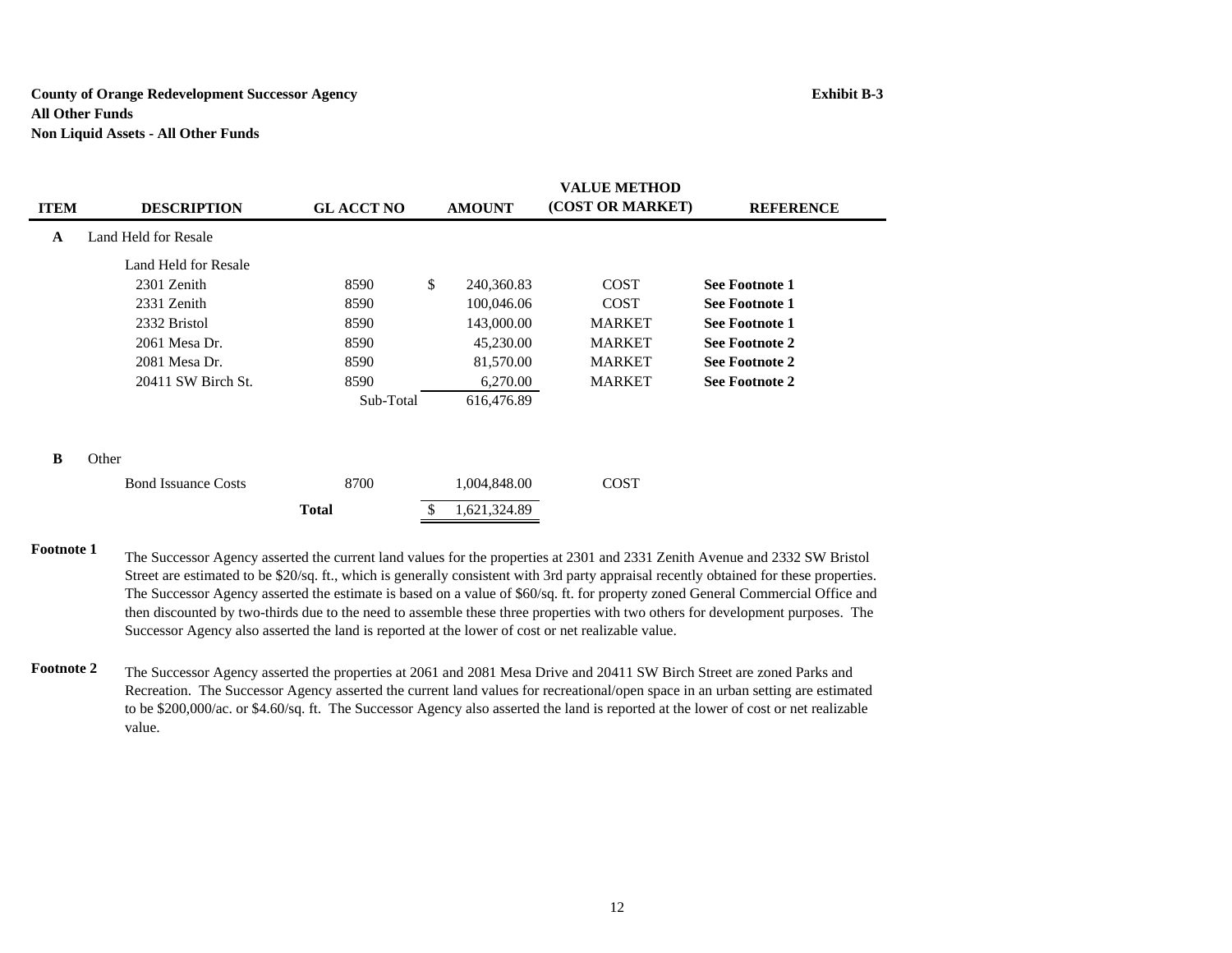### **County of Orange Redevelopment Successor Agency Exhibit B-3 All Other FundsNon Liquid Assets - All Other Funds**

|             |                            |                  | <b>VALUE METHOD</b> |               |                  |                       |  |  |
|-------------|----------------------------|------------------|---------------------|---------------|------------------|-----------------------|--|--|
| <b>ITEM</b> | <b>DESCRIPTION</b>         | <b>GLACCT NO</b> |                     | <b>AMOUNT</b> | (COST OR MARKET) | <b>REFERENCE</b>      |  |  |
| A           | Land Held for Resale       |                  |                     |               |                  |                       |  |  |
|             | Land Held for Resale       |                  |                     |               |                  |                       |  |  |
|             | 2301 Zenith                | 8590             | \$                  | 240,360.83    | <b>COST</b>      | <b>See Footnote 1</b> |  |  |
|             | 2331 Zenith                | 8590             |                     | 100,046.06    | <b>COST</b>      | <b>See Footnote 1</b> |  |  |
|             | 2332 Bristol               | 8590             |                     | 143,000.00    | <b>MARKET</b>    | See Footnote 1        |  |  |
|             | 2061 Mesa Dr.              | 8590             |                     | 45,230.00     | <b>MARKET</b>    | See Footnote 2        |  |  |
|             | 2081 Mesa Dr.              | 8590             |                     | 81,570.00     | <b>MARKET</b>    | See Footnote 2        |  |  |
|             | 20411 SW Birch St.         | 8590             |                     | 6,270.00      | <b>MARKET</b>    | <b>See Footnote 2</b> |  |  |
|             |                            | Sub-Total        |                     | 616,476.89    |                  |                       |  |  |
|             |                            |                  |                     |               |                  |                       |  |  |
| B           | Other                      |                  |                     |               |                  |                       |  |  |
|             | <b>Bond Issuance Costs</b> | 8700             |                     | 1,004,848.00  | <b>COST</b>      |                       |  |  |
|             |                            | <b>Total</b>     |                     | 1,621,324.89  |                  |                       |  |  |

**Footnote 1**The Successor Agency asserted the current land values for the properties at 2301 and 2331 Zenith Avenue and 2332 SW Bristol Street are estimated to be \$20/sq. ft., which is generally consistent with 3rd party appraisal recently obtained for these properties. The Successor Agency asserted the estimate is based on a value of \$60/sq. ft. for property zoned General Commercial Office and then discounted by two-thirds due to the need to assemble these three properties with two others for development purposes. The Successor Agency also asserted the land is reported at the lower of cost or net realizable value.

**Footnote 2** The Successor Agency asserted the properties at 2061 and 2081 Mesa Drive and 20411 SW Birch Street are zoned Parks and Recreation. The Successor Agency asserted the current land values for recreational/open space in an urban setting are estimated to be \$200,000/ac. or \$4.60/sq. ft. The Successor Agency also asserted the land is reported at the lower of cost or net realizable value.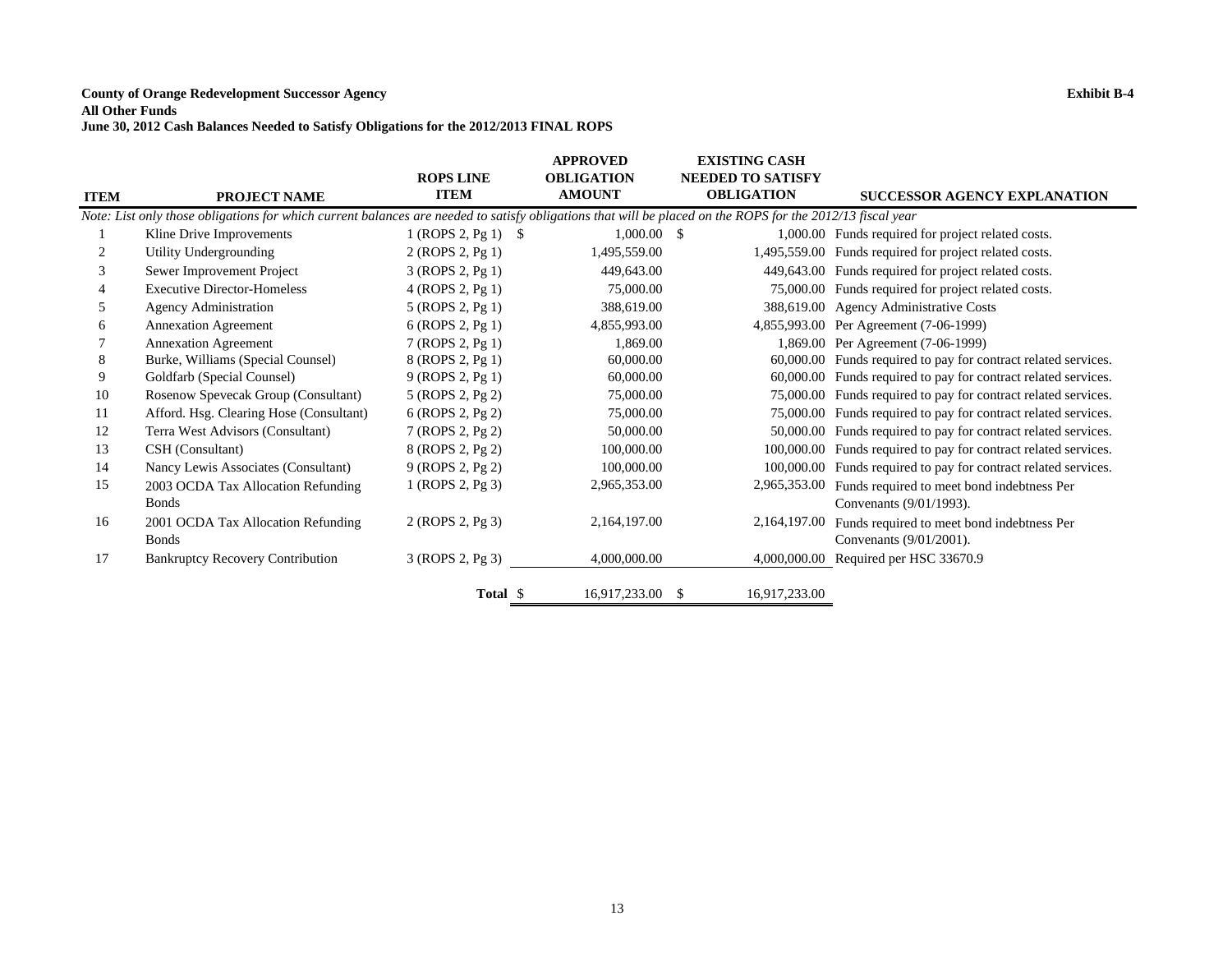### **County of Orange Redevelopment Successor Agency Exhibit B-4**

### **All Other Funds**

**June 30, 2012 Cash Balances Needed to Satisfy Obligations for the 2012/2013 FINAL ROPS**

|             |                                                                                                                                                            | <b>ROPS LINE</b>      | <b>APPROVED</b><br><b>OBLIGATION</b> | <b>EXISTING CASH</b><br><b>NEEDED TO SATISFY</b> |                                                                |
|-------------|------------------------------------------------------------------------------------------------------------------------------------------------------------|-----------------------|--------------------------------------|--------------------------------------------------|----------------------------------------------------------------|
| <b>ITEM</b> | <b>PROJECT NAME</b>                                                                                                                                        | <b>ITEM</b>           | <b>AMOUNT</b>                        | <b>OBLIGATION</b>                                | <b>SUCCESSOR AGENCY EXPLANATION</b>                            |
|             | Note: List only those obligations for which current balances are needed to satisfy obligations that will be placed on the ROPS for the 2012/13 fiscal year |                       |                                      |                                                  |                                                                |
| 1           | Kline Drive Improvements                                                                                                                                   | $1 (ROPS 2, Pg 1)$ \$ | $1,000.00$ \$                        |                                                  | 1,000.00 Funds required for project related costs.             |
|             | Utility Undergrounding                                                                                                                                     | 2 (ROPS 2, Pg 1)      | 1,495,559.00                         |                                                  | 1,495,559.00 Funds required for project related costs.         |
| 3           | Sewer Improvement Project                                                                                                                                  | 3 (ROPS 2, Pg 1)      | 449,643.00                           |                                                  | 449,643.00 Funds required for project related costs.           |
| 4           | <b>Executive Director-Homeless</b>                                                                                                                         | 4 (ROPS 2, Pg 1)      | 75,000.00                            |                                                  | 75,000.00 Funds required for project related costs.            |
| 5           | <b>Agency Administration</b>                                                                                                                               | 5 (ROPS 2, Pg 1)      | 388,619.00                           |                                                  | 388,619.00 Agency Administrative Costs                         |
| 6           | <b>Annexation Agreement</b>                                                                                                                                | 6 (ROPS 2, Pg 1)      | 4,855,993.00                         |                                                  | 4,855,993.00 Per Agreement (7-06-1999)                         |
|             | <b>Annexation Agreement</b>                                                                                                                                | 7 (ROPS 2, Pg 1)      | 1,869.00                             |                                                  | 1,869.00 Per Agreement (7-06-1999)                             |
| 8           | Burke, Williams (Special Counsel)                                                                                                                          | 8 (ROPS 2, Pg 1)      | 60,000.00                            |                                                  | 60,000.00 Funds required to pay for contract related services. |
| 9           | Goldfarb (Special Counsel)                                                                                                                                 | 9 (ROPS 2, Pg 1)      | 60,000.00                            |                                                  | 60,000.00 Funds required to pay for contract related services. |
| 10          | Rosenow Spevecak Group (Consultant)                                                                                                                        | 5 (ROPS 2, Pg 2)      | 75,000.00                            | 75,000.00                                        | Funds required to pay for contract related services.           |
| 11          | Afford. Hsg. Clearing Hose (Consultant)                                                                                                                    | 6 (ROPS 2, Pg 2)      | 75,000.00                            | 75,000.00                                        | Funds required to pay for contract related services.           |
| 12          | Terra West Advisors (Consultant)                                                                                                                           | 7 (ROPS 2, Pg 2)      | 50,000.00                            | 50,000.00                                        | Funds required to pay for contract related services.           |
| 13          | CSH (Consultant)                                                                                                                                           | 8 (ROPS 2, Pg 2)      | 100,000.00                           | 100,000.00                                       | Funds required to pay for contract related services.           |
| 14          | Nancy Lewis Associates (Consultant)                                                                                                                        | 9 (ROPS 2, Pg 2)      | 100,000.00                           | 100,000.00                                       | Funds required to pay for contract related services.           |
| 15          | 2003 OCDA Tax Allocation Refunding                                                                                                                         | 1 (ROPS 2, Pg 3)      | 2,965,353.00                         | 2,965,353.00                                     | Funds required to meet bond indebtness Per                     |
|             | <b>Bonds</b>                                                                                                                                               |                       |                                      |                                                  | Convenants (9/01/1993).                                        |
| 16          | 2001 OCDA Tax Allocation Refunding                                                                                                                         | 2 (ROPS 2, Pg 3)      | 2,164,197.00                         | 2,164,197.00                                     | Funds required to meet bond indebtness Per                     |
|             | <b>Bonds</b>                                                                                                                                               |                       |                                      |                                                  | Convenants (9/01/2001).                                        |
| 17          | <b>Bankruptcy Recovery Contribution</b>                                                                                                                    | 3 (ROPS 2, Pg 3)      | 4,000,000.00                         | 4,000,000.00                                     | Required per HSC 33670.9                                       |
|             |                                                                                                                                                            | Total \$              | 16.917.233.00                        | 16,917,233.00<br>-S                              |                                                                |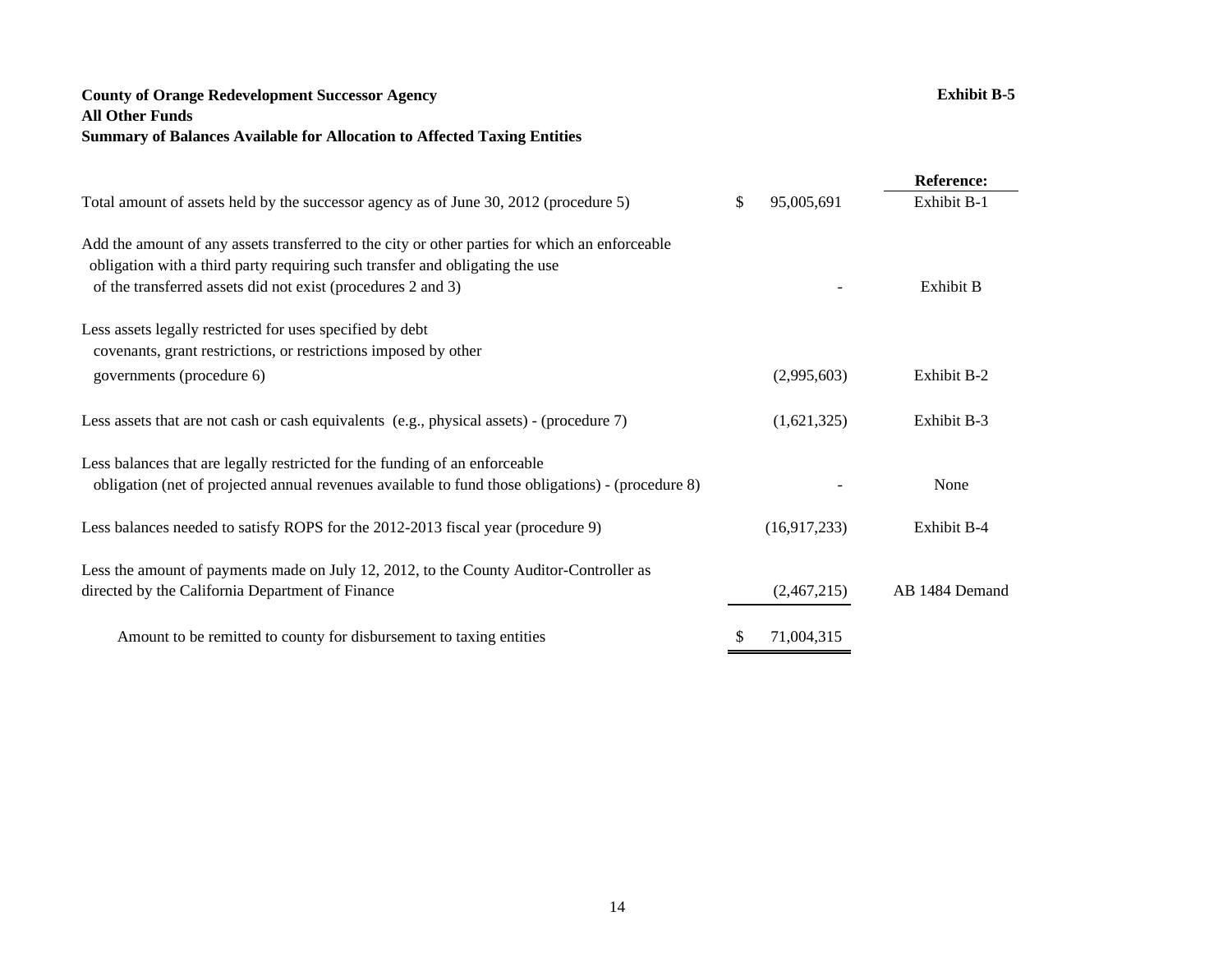# **County of Orange Redevelopment Successor Agency Exhibit B-5 All Other Funds Summary of Balances Available for Allocation to Affected Taxing Entities**

|                                                                                                                                                                                                                                                |                  | <b>Reference:</b> |
|------------------------------------------------------------------------------------------------------------------------------------------------------------------------------------------------------------------------------------------------|------------------|-------------------|
| Total amount of assets held by the successor agency as of June 30, 2012 (procedure 5)                                                                                                                                                          | \$<br>95,005,691 | Exhibit B-1       |
| Add the amount of any assets transferred to the city or other parties for which an enforceable<br>obligation with a third party requiring such transfer and obligating the use<br>of the transferred assets did not exist (procedures 2 and 3) |                  | Exhibit B         |
| Less assets legally restricted for uses specified by debt<br>covenants, grant restrictions, or restrictions imposed by other                                                                                                                   |                  |                   |
| governments (procedure 6)                                                                                                                                                                                                                      | (2,995,603)      | Exhibit B-2       |
| Less assets that are not cash or cash equivalents (e.g., physical assets) - (procedure 7)                                                                                                                                                      | (1,621,325)      | Exhibit B-3       |
| Less balances that are legally restricted for the funding of an enforceable<br>obligation (net of projected annual revenues available to fund those obligations) - (procedure 8)                                                               |                  | None              |
| Less balances needed to satisfy ROPS for the 2012-2013 fiscal year (procedure 9)                                                                                                                                                               | (16,917,233)     | Exhibit B-4       |
| Less the amount of payments made on July 12, 2012, to the County Auditor-Controller as<br>directed by the California Department of Finance                                                                                                     | (2,467,215)      | AB 1484 Demand    |
| Amount to be remitted to county for disbursement to taxing entities                                                                                                                                                                            | \$<br>71,004,315 |                   |